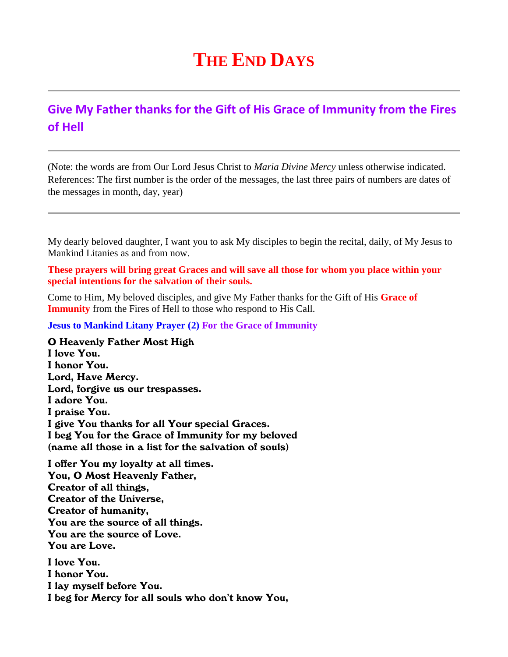## **THE END DAYS**

## **Give My Father thanks for the Gift of His Grace of Immunity from the Fires of Hell**

(Note: the words are from Our Lord Jesus Christ to *Maria Divine Mercy* unless otherwise indicated. References: The first number is the order of the messages, the last three pairs of numbers are dates of the messages in month, day, year)

My dearly beloved daughter, I want you to ask My disciples to begin the recital, daily, of My Jesus to Mankind Litanies as and from now.

**These prayers will bring great Graces and will save all those for whom you place within your special intentions for the salvation of their souls.**

Come to Him, My beloved disciples, and give My Father thanks for the Gift of His **Grace of Immunity** from the Fires of Hell to those who respond to His Call.

**Jesus to Mankind Litany Prayer (2) For the Grace of Immunity**

O Heavenly Father Most High I love You. I honor You. Lord, Have Mercy. Lord, forgive us our trespasses. I adore You. I praise You. I give You thanks for all Your special Graces. I beg You for the Grace of Immunity for my beloved (name all those in a list for the salvation of souls)

I offer You my loyalty at all times. You, O Most Heavenly Father, Creator of all things, Creator of the Universe, Creator of humanity, You are the source of all things. You are the source of Love. You are Love. I love You.

I honor You. I lay myself before You. I beg for Mercy for all souls who don't know You,